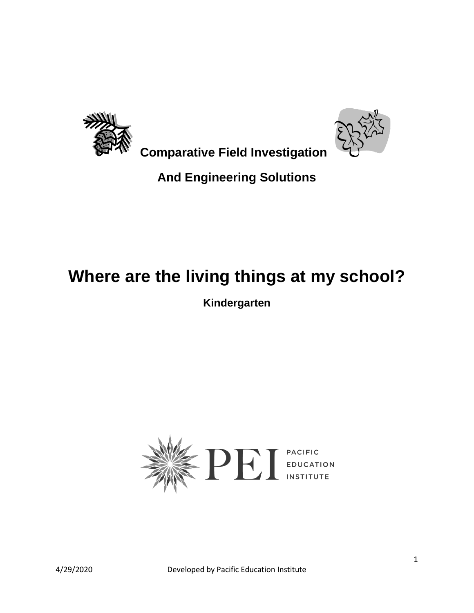



 **Comparative Field Investigation**

### **And Engineering Solutions**

# **Where are the living things at my school?**

**Kindergarten**

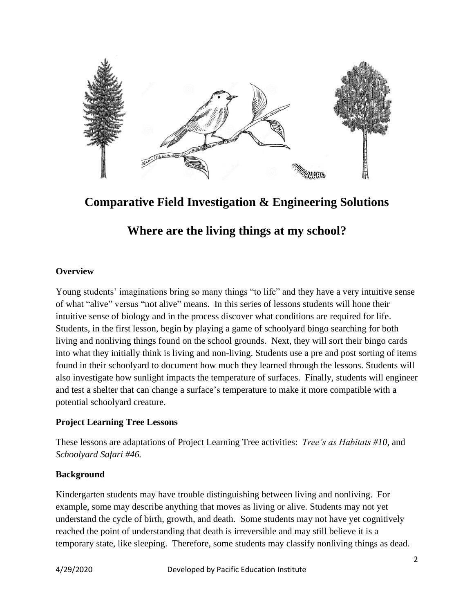

**Comparative Field Investigation & Engineering Solutions**

### **Where are the living things at my school?**

### **Overview**

Young students' imaginations bring so many things "to life" and they have a very intuitive sense of what "alive" versus "not alive" means. In this series of lessons students will hone their intuitive sense of biology and in the process discover what conditions are required for life. Students, in the first lesson, begin by playing a game of schoolyard bingo searching for both living and nonliving things found on the school grounds. Next, they will sort their bingo cards into what they initially think is living and non-living. Students use a pre and post sorting of items found in their schoolyard to document how much they learned through the lessons. Students will also investigate how sunlight impacts the temperature of surfaces. Finally, students will engineer and test a shelter that can change a surface's temperature to make it more compatible with a potential schoolyard creature.

### **Project Learning Tree Lessons**

These lessons are adaptations of Project Learning Tree activities: *Tree's as Habitats #10*, and *Schoolyard Safari #46.*

### **Background**

Kindergarten students may have trouble distinguishing between living and nonliving. For example, some may describe anything that moves as living or alive. Students may not yet understand the cycle of birth, growth, and death. Some students may not have yet cognitively reached the point of understanding that death is irreversible and may still believe it is a temporary state, like sleeping. Therefore, some students may classify nonliving things as dead.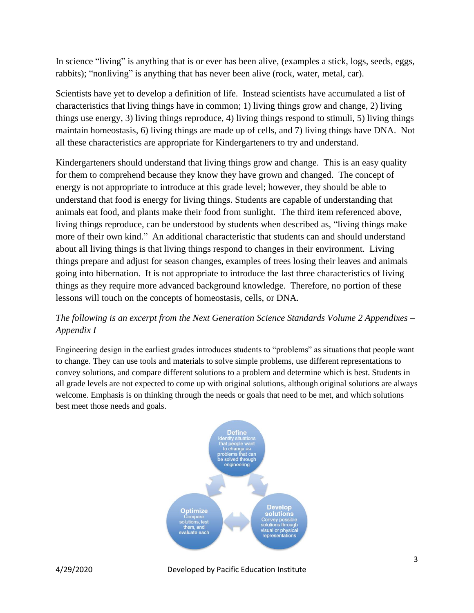In science "living" is anything that is or ever has been alive, (examples a stick, logs, seeds, eggs, rabbits); "nonliving" is anything that has never been alive (rock, water, metal, car).

Scientists have yet to develop a definition of life. Instead scientists have accumulated a list of characteristics that living things have in common; 1) living things grow and change, 2) living things use energy, 3) living things reproduce, 4) living things respond to stimuli, 5) living things maintain homeostasis, 6) living things are made up of cells, and 7) living things have DNA. Not all these characteristics are appropriate for Kindergarteners to try and understand.

Kindergarteners should understand that living things grow and change. This is an easy quality for them to comprehend because they know they have grown and changed. The concept of energy is not appropriate to introduce at this grade level; however, they should be able to understand that food is energy for living things. Students are capable of understanding that animals eat food, and plants make their food from sunlight. The third item referenced above, living things reproduce, can be understood by students when described as, "living things make more of their own kind." An additional characteristic that students can and should understand about all living things is that living things respond to changes in their environment. Living things prepare and adjust for season changes, examples of trees losing their leaves and animals going into hibernation. It is not appropriate to introduce the last three characteristics of living things as they require more advanced background knowledge. Therefore, no portion of these lessons will touch on the concepts of homeostasis, cells, or DNA.

### *The following is an excerpt from the Next Generation Science Standards Volume 2 Appendixes – Appendix I*

Engineering design in the earliest grades introduces students to "problems" as situations that people want to change. They can use tools and materials to solve simple problems, use different representations to convey solutions, and compare different solutions to a problem and determine which is best. Students in all grade levels are not expected to come up with original solutions, although original solutions are always welcome. Emphasis is on thinking through the needs or goals that need to be met, and which solutions best meet those needs and goals.

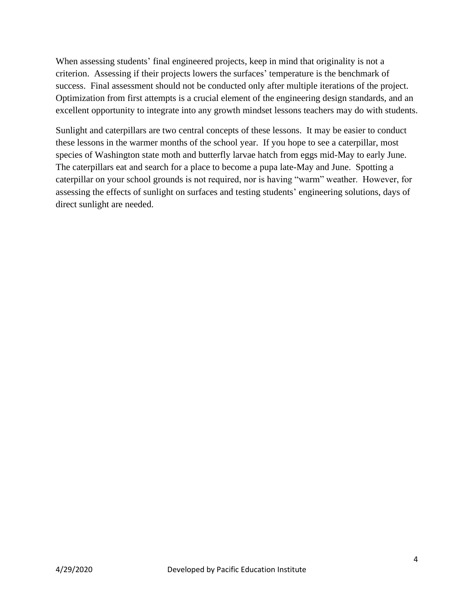When assessing students' final engineered projects, keep in mind that originality is not a criterion. Assessing if their projects lowers the surfaces' temperature is the benchmark of success. Final assessment should not be conducted only after multiple iterations of the project. Optimization from first attempts is a crucial element of the engineering design standards, and an excellent opportunity to integrate into any growth mindset lessons teachers may do with students.

Sunlight and caterpillars are two central concepts of these lessons. It may be easier to conduct these lessons in the warmer months of the school year. If you hope to see a caterpillar, most species of Washington state moth and butterfly larvae hatch from eggs mid-May to early June. The caterpillars eat and search for a place to become a pupa late-May and June. Spotting a caterpillar on your school grounds is not required, nor is having "warm" weather. However, for assessing the effects of sunlight on surfaces and testing students' engineering solutions, days of direct sunlight are needed.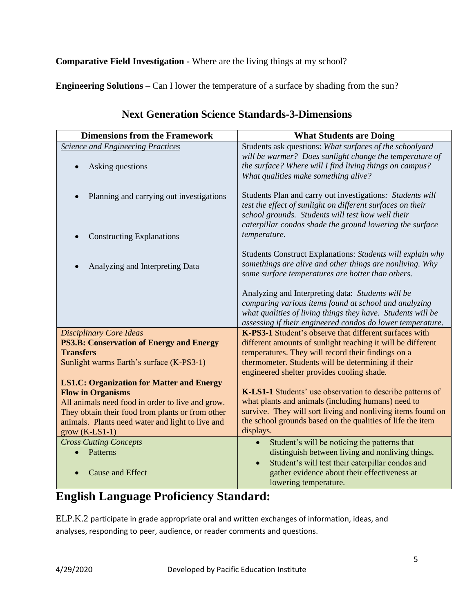**Comparative Field Investigation -** Where are the living things at my school?

**Engineering Solutions** – Can I lower the temperature of a surface by shading from the sun?

| <b>Dimensions from the Framework</b>             | <b>What Students are Doing</b>                                                                                                                                                                                                           |
|--------------------------------------------------|------------------------------------------------------------------------------------------------------------------------------------------------------------------------------------------------------------------------------------------|
| <b>Science and Engineering Practices</b>         | Students ask questions: What surfaces of the schoolyard                                                                                                                                                                                  |
| Asking questions                                 | will be warmer? Does sunlight change the temperature of<br>the surface? Where will I find living things on campus?<br>What qualities make something alive?                                                                               |
| Planning and carrying out investigations         | Students Plan and carry out investigations: Students will<br>test the effect of sunlight on different surfaces on their<br>school grounds. Students will test how well their<br>caterpillar condos shade the ground lowering the surface |
| <b>Constructing Explanations</b>                 | temperature.                                                                                                                                                                                                                             |
| Analyzing and Interpreting Data                  | Students Construct Explanations: Students will explain why<br>somethings are alive and other things are nonliving. Why<br>some surface temperatures are hotter than others.                                                              |
|                                                  | Analyzing and Interpreting data: Students will be                                                                                                                                                                                        |
|                                                  | comparing various items found at school and analyzing                                                                                                                                                                                    |
|                                                  | what qualities of living things they have. Students will be                                                                                                                                                                              |
|                                                  | assessing if their engineered condos do lower temperature.                                                                                                                                                                               |
| <b>Disciplinary Core Ideas</b>                   | K-PS3-1 Student's observe that different surfaces with                                                                                                                                                                                   |
| <b>PS3.B: Conservation of Energy and Energy</b>  | different amounts of sunlight reaching it will be different                                                                                                                                                                              |
| <b>Transfers</b>                                 | temperatures. They will record their findings on a                                                                                                                                                                                       |
| Sunlight warms Earth's surface (K-PS3-1)         | thermometer. Students will be determining if their<br>engineered shelter provides cooling shade.                                                                                                                                         |
| <b>LS1.C: Organization for Matter and Energy</b> |                                                                                                                                                                                                                                          |
| <b>Flow in Organisms</b>                         | K-LS1-1 Students' use observation to describe patterns of                                                                                                                                                                                |
| All animals need food in order to live and grow. | what plants and animals (including humans) need to                                                                                                                                                                                       |
| They obtain their food from plants or from other | survive. They will sort living and nonliving items found on                                                                                                                                                                              |
| animals. Plants need water and light to live and | the school grounds based on the qualities of life the item                                                                                                                                                                               |
| $grow (K-LS1-1)$                                 | displays.                                                                                                                                                                                                                                |
| <b>Cross Cutting Concepts</b>                    | Student's will be noticing the patterns that<br>$\bullet$                                                                                                                                                                                |
| Patterns                                         | distinguish between living and nonliving things.                                                                                                                                                                                         |
| <b>Cause and Effect</b>                          | Student's will test their caterpillar condos and<br>gather evidence about their effectiveness at                                                                                                                                         |
|                                                  | lowering temperature.                                                                                                                                                                                                                    |

### **Next Generation Science Standards-3-Dimensions**

### **English Language Proficiency Standard:**

ELP.K.2 participate in grade appropriate oral and written exchanges of information, ideas, and analyses, responding to peer, audience, or reader comments and questions.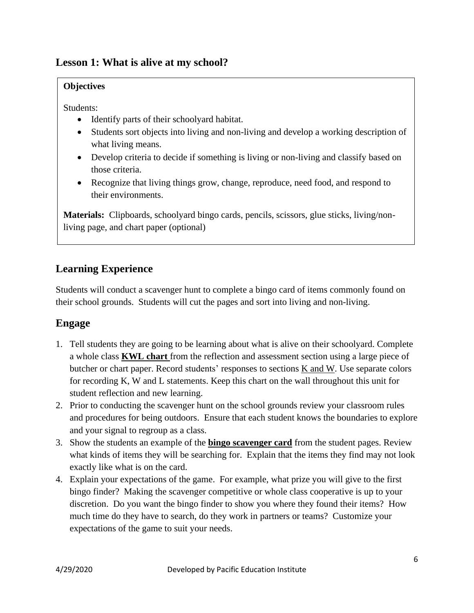### **Lesson 1: What is alive at my school?**

### **Objectives**

Students:

- Identify parts of their schoolyard habitat.
- Students sort objects into living and non-living and develop a working description of what living means.
- Develop criteria to decide if something is living or non-living and classify based on those criteria.
- Recognize that living things grow, change, reproduce, need food, and respond to their environments.

**Materials:** Clipboards, schoolyard bingo cards, pencils, scissors, glue sticks, living/nonliving page, and chart paper (optional)

### **Learning Experience**

Students will conduct a scavenger hunt to complete a bingo card of items commonly found on their school grounds. Students will cut the pages and sort into living and non-living.

### **Engage**

- 1. Tell students they are going to be learning about what is alive on their schoolyard. Complete a whole class **KWL chart** from the reflection and assessment section using a large piece of butcher or chart paper. Record students' responses to sections K and W. Use separate colors for recording K, W and L statements. Keep this chart on the wall throughout this unit for student reflection and new learning.
- 2. Prior to conducting the scavenger hunt on the school grounds review your classroom rules and procedures for being outdoors. Ensure that each student knows the boundaries to explore and your signal to regroup as a class.
- 3. Show the students an example of the **bingo scavenger card** from the student pages. Review what kinds of items they will be searching for. Explain that the items they find may not look exactly like what is on the card.
- 4. Explain your expectations of the game. For example, what prize you will give to the first bingo finder? Making the scavenger competitive or whole class cooperative is up to your discretion. Do you want the bingo finder to show you where they found their items? How much time do they have to search, do they work in partners or teams? Customize your expectations of the game to suit your needs.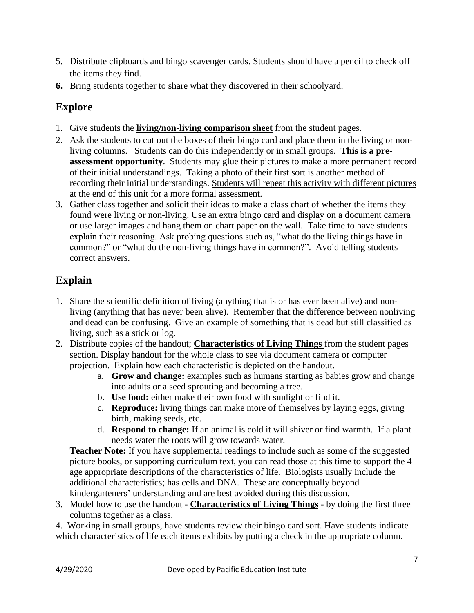- 5. Distribute clipboards and bingo scavenger cards. Students should have a pencil to check off the items they find.
- **6.** Bring students together to share what they discovered in their schoolyard.

### **Explore**

- 1. Give students the **living/non-living comparison sheet** from the student pages.
- 2. Ask the students to cut out the boxes of their bingo card and place them in the living or nonliving columns. Students can do this independently or in small groups. **This is a preassessment opportunity**. Students may glue their pictures to make a more permanent record of their initial understandings. Taking a photo of their first sort is another method of recording their initial understandings. Students will repeat this activity with different pictures at the end of this unit for a more formal assessment.
- 3. Gather class together and solicit their ideas to make a class chart of whether the items they found were living or non-living. Use an extra bingo card and display on a document camera or use larger images and hang them on chart paper on the wall. Take time to have students explain their reasoning. Ask probing questions such as, "what do the living things have in common?" or "what do the non-living things have in common?". Avoid telling students correct answers.

### **Explain**

- 1. Share the scientific definition of living (anything that is or has ever been alive) and nonliving (anything that has never been alive). Remember that the difference between nonliving and dead can be confusing. Give an example of something that is dead but still classified as living, such as a stick or log.
- 2. Distribute copies of the handout; **Characteristics of Living Things** from the student pages section. Display handout for the whole class to see via document camera or computer projection. Explain how each characteristic is depicted on the handout.
	- a. **Grow and change:** examples such as humans starting as babies grow and change into adults or a seed sprouting and becoming a tree.
	- b. **Use food:** either make their own food with sunlight or find it.
	- c. **Reproduce:** living things can make more of themselves by laying eggs, giving birth, making seeds, etc.
	- d. **Respond to change:** If an animal is cold it will shiver or find warmth. If a plant needs water the roots will grow towards water.

**Teacher Note:** If you have supplemental readings to include such as some of the suggested picture books, or supporting curriculum text, you can read those at this time to support the 4 age appropriate descriptions of the characteristics of life. Biologists usually include the additional characteristics; has cells and DNA. These are conceptually beyond kindergarteners' understanding and are best avoided during this discussion.

3. Model how to use the handout - **Characteristics of Living Things** - by doing the first three columns together as a class.

4. Working in small groups, have students review their bingo card sort. Have students indicate which characteristics of life each items exhibits by putting a check in the appropriate column.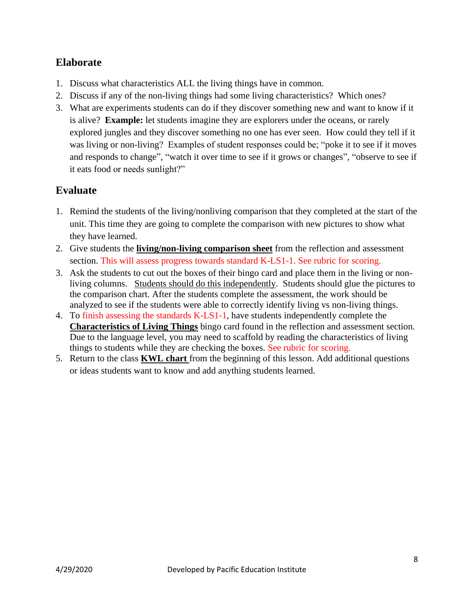### **Elaborate**

- 1. Discuss what characteristics ALL the living things have in common.
- 2. Discuss if any of the non-living things had some living characteristics? Which ones?
- 3. What are experiments students can do if they discover something new and want to know if it is alive? **Example:** let students imagine they are explorers under the oceans, or rarely explored jungles and they discover something no one has ever seen. How could they tell if it was living or non-living? Examples of student responses could be; "poke it to see if it moves and responds to change", "watch it over time to see if it grows or changes", "observe to see if it eats food or needs sunlight?"

### **Evaluate**

- 1. Remind the students of the living/nonliving comparison that they completed at the start of the unit. This time they are going to complete the comparison with new pictures to show what they have learned.
- 2. Give students the **living/non-living comparison sheet** from the reflection and assessment section. This will assess progress towards standard K-LS1-1. See rubric for scoring.
- 3. Ask the students to cut out the boxes of their bingo card and place them in the living or nonliving columns. Students should do this independently. Students should glue the pictures to the comparison chart. After the students complete the assessment, the work should be analyzed to see if the students were able to correctly identify living vs non-living things.
- 4. To finish assessing the standards K-LS1-1, have students independently complete the **Characteristics of Living Things** bingo card found in the reflection and assessment section. Due to the language level, you may need to scaffold by reading the characteristics of living things to students while they are checking the boxes. See rubric for scoring.
- 5. Return to the class **KWL chart** from the beginning of this lesson. Add additional questions or ideas students want to know and add anything students learned.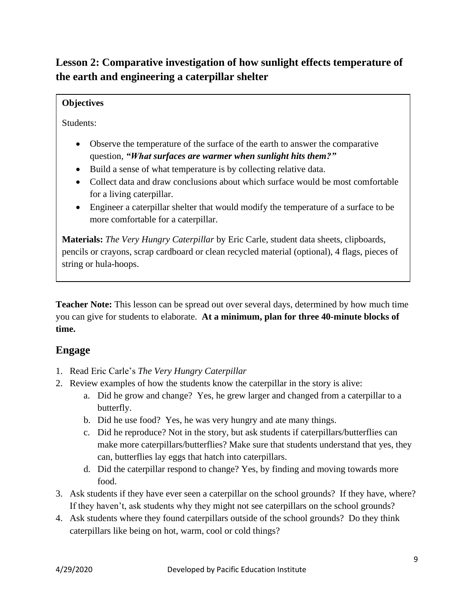### **Lesson 2: Comparative investigation of how sunlight effects temperature of the earth and engineering a caterpillar shelter**

### **Objectives**

Students:

- Observe the temperature of the surface of the earth to answer the comparative question, *"What surfaces are warmer when sunlight hits them?"*
- Build a sense of what temperature is by collecting relative data.
- Collect data and draw conclusions about which surface would be most comfortable for a living caterpillar.
- Engineer a caterpillar shelter that would modify the temperature of a surface to be more comfortable for a caterpillar.

**Materials:** *The Very Hungry Caterpillar* by Eric Carle, student data sheets, clipboards, pencils or crayons, scrap cardboard or clean recycled material (optional), 4 flags, pieces of string or hula-hoops.

**Teacher Note:** This lesson can be spread out over several days, determined by how much time you can give for students to elaborate. **At a minimum, plan for three 40-minute blocks of time.**

### **Engage**

- 1. Read Eric Carle's *The Very Hungry Caterpillar*
- 2. Review examples of how the students know the caterpillar in the story is alive:
	- a. Did he grow and change? Yes, he grew larger and changed from a caterpillar to a butterfly.
	- b. Did he use food? Yes, he was very hungry and ate many things.
	- c. Did he reproduce? Not in the story, but ask students if caterpillars/butterflies can make more caterpillars/butterflies? Make sure that students understand that yes, they can, butterflies lay eggs that hatch into caterpillars.
	- d. Did the caterpillar respond to change? Yes, by finding and moving towards more food.
- 3. Ask students if they have ever seen a caterpillar on the school grounds? If they have, where? If they haven't, ask students why they might not see caterpillars on the school grounds?
- 4. Ask students where they found caterpillars outside of the school grounds? Do they think caterpillars like being on hot, warm, cool or cold things?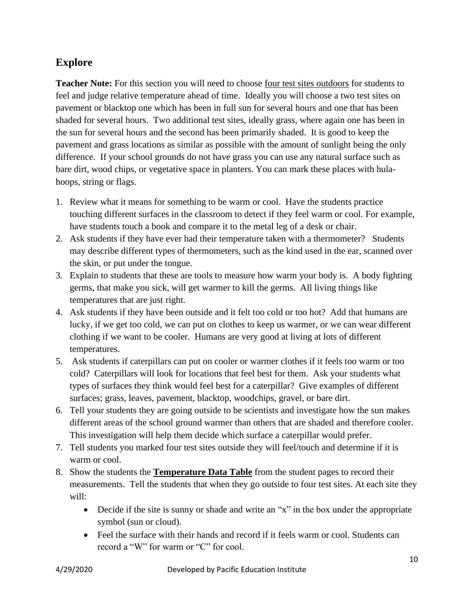### **Explore**

**Teacher Note:** For this section you will need to choose <u>four test sites outdoors</u> for students to feel and judge relative temperature ahead of time. Ideally you will choose a two test sites on pavement or blacktop one which has been in full sun for several hours and one that has been shaded for several hours. Two additional test sites, ideally grass, where again one has been in the sun for several hours and the second has been primarily shaded. It is good to keep the pavement and grass locations as similar as possible with the amount of sunlight being the only difference. If your school grounds do not have grass you can use any natural surface such as bare dirt, wood chips, or vegetative space in planters. You can mark these places with hulahoops, string or flags.

- 1. Review what it means for something to be warm or cool. Have the students practice touching different surfaces in the classroom to detect if they feel warm or cool. For example, have students touch a book and compare it to the metal leg of a desk or chair.
- 2. Ask students if they have ever had their temperature taken with a thermometer? Students may describe different types of thermometers, such as the kind used in the ear, scanned over the skin, or put under the tongue.
- 3. Explain to students that these are tools to measure how warm your body is. A body fighting germs, that make you sick, will get warmer to kill the germs. All living things like temperatures that are just right.
- 4. Ask students if they have been outside and it felt too cold or too hot? Add that humans are lucky, if we get too cold, we can put on clothes to keep us warmer, or we can wear different clothing if we want to be cooler. Humans are very good at living at lots of different temperatures.
- 5. Ask students if caterpillars can put on cooler or warmer clothes if it feels too warm or too cold? Caterpillars will look for locations that feel best for them. Ask your students what types of surfaces they think would feel best for a caterpillar? Give examples of different surfaces; grass, leaves, pavement, blacktop, woodchips, gravel, or bare dirt.
- 6. Tell your students they are going outside to be scientists and investigate how the sun makes different areas of the school ground warmer than others that are shaded and therefore cooler. This investigation will help them decide which surface a caterpillar would prefer.
- 7. Tell students you marked four test sites outside they will feel/touch and determine if it is warm or cool.
- 8. Show the students the **Temperature Data Table** from the student pages to record their measurements. Tell the students that when they go outside to four test sites. At each site they will:
	- Decide if the site is sunny or shade and write an "x" in the box under the appropriate symbol (sun or cloud).
	- Feel the surface with their hands and record if it feels warm or cool. Students can record a "W" for warm or "C" for cool.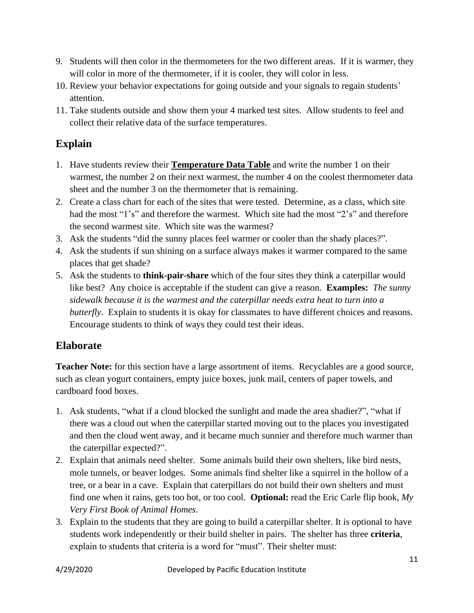- 9. Students will then color in the thermometers for the two different areas. If it is warmer, they will color in more of the thermometer, if it is cooler, they will color in less.
- 10. Review your behavior expectations for going outside and your signals to regain students' attention.
- 11. Take students outside and show them your 4 marked test sites. Allow students to feel and collect their relative data of the surface temperatures.

### **Explain**

- 1. Have students review their **Temperature Data Table** and write the number 1 on their warmest, the number 2 on their next warmest, the number 4 on the coolest thermometer data sheet and the number 3 on the thermometer that is remaining.
- 2. Create a class chart for each of the sites that were tested. Determine, as a class, which site had the most "1's" and therefore the warmest. Which site had the most "2's" and therefore the second warmest site. Which site was the warmest?
- 3. Ask the students "did the sunny places feel warmer or cooler than the shady places?".
- 4. Ask the students if sun shining on a surface always makes it warmer compared to the same places that get shade?
- 5. Ask the students to **think-pair-share** which of the four sites they think a caterpillar would like best? Any choice is acceptable if the student can give a reason. **Examples:** *The sunny sidewalk because it is the warmest and the caterpillar needs extra heat to turn into a butterfly*. Explain to students it is okay for classmates to have different choices and reasons. Encourage students to think of ways they could test their ideas.

### **Elaborate**

**Teacher Note:** for this section have a large assortment of items. Recyclables are a good source, such as clean yogurt containers, empty juice boxes, junk mail, centers of paper towels, and cardboard food boxes.

- 1. Ask students, "what if a cloud blocked the sunlight and made the area shadier?", "what if there was a cloud out when the caterpillar started moving out to the places you investigated and then the cloud went away, and it became much sunnier and therefore much warmer than the caterpillar expected?".
- 2. Explain that animals need shelter. Some animals build their own shelters, like bird nests, mole tunnels, or beaver lodges. Some animals find shelter like a squirrel in the hollow of a tree, or a bear in a cave. Explain that caterpillars do not build their own shelters and must find one when it rains, gets too hot, or too cool. **Optional:** read the Eric Carle flip book, *My Very First Book of Animal Homes*.
- 3. Explain to the students that they are going to build a caterpillar shelter. It is optional to have students work independently or their build shelter in pairs. The shelter has three **criteria**, explain to students that criteria is a word for "must". Their shelter must: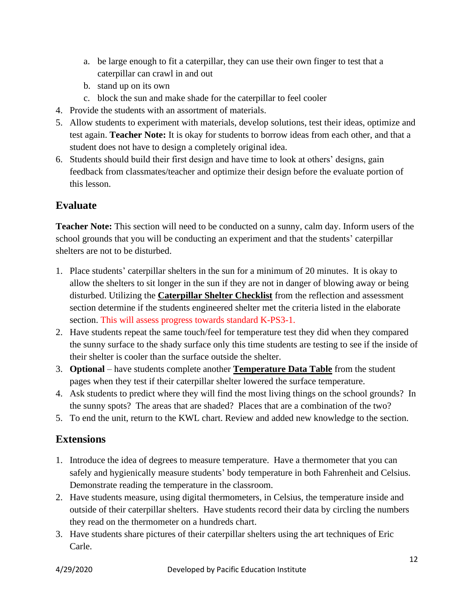- a. be large enough to fit a caterpillar, they can use their own finger to test that a caterpillar can crawl in and out
- b. stand up on its own
- c. block the sun and make shade for the caterpillar to feel cooler
- 4. Provide the students with an assortment of materials.
- 5. Allow students to experiment with materials, develop solutions, test their ideas, optimize and test again. **Teacher Note:** It is okay for students to borrow ideas from each other, and that a student does not have to design a completely original idea.
- 6. Students should build their first design and have time to look at others' designs, gain feedback from classmates/teacher and optimize their design before the evaluate portion of this lesson.

### **Evaluate**

**Teacher Note:** This section will need to be conducted on a sunny, calm day. Inform users of the school grounds that you will be conducting an experiment and that the students' caterpillar shelters are not to be disturbed.

- 1. Place students' caterpillar shelters in the sun for a minimum of 20 minutes. It is okay to allow the shelters to sit longer in the sun if they are not in danger of blowing away or being disturbed. Utilizing the **Caterpillar Shelter Checklist** from the reflection and assessment section determine if the students engineered shelter met the criteria listed in the elaborate section. This will assess progress towards standard K-PS3-1.
- 2. Have students repeat the same touch/feel for temperature test they did when they compared the sunny surface to the shady surface only this time students are testing to see if the inside of their shelter is cooler than the surface outside the shelter.
- 3. **Optional** have students complete another **Temperature Data Table** from the student pages when they test if their caterpillar shelter lowered the surface temperature.
- 4. Ask students to predict where they will find the most living things on the school grounds? In the sunny spots? The areas that are shaded? Places that are a combination of the two?
- 5. To end the unit, return to the KWL chart. Review and added new knowledge to the section.

### **Extensions**

- 1. Introduce the idea of degrees to measure temperature. Have a thermometer that you can safely and hygienically measure students' body temperature in both Fahrenheit and Celsius. Demonstrate reading the temperature in the classroom.
- 2. Have students measure, using digital thermometers, in Celsius, the temperature inside and outside of their caterpillar shelters. Have students record their data by circling the numbers they read on the thermometer on a hundreds chart.
- 3. Have students share pictures of their caterpillar shelters using the art techniques of Eric Carle.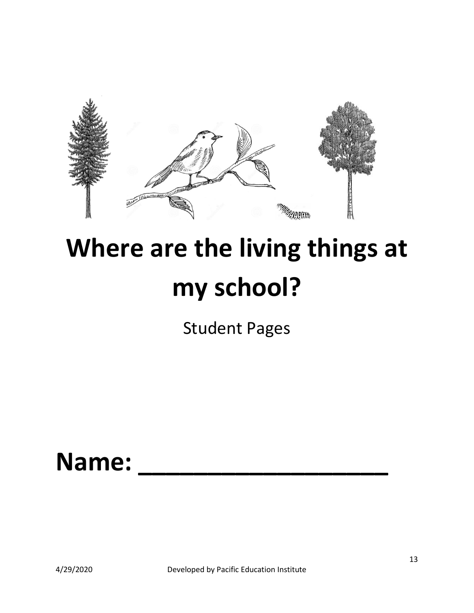

# **Where are the living things at my school?**

Student Pages

# **Name: \_\_\_\_\_\_\_\_\_\_\_\_\_\_\_\_\_\_**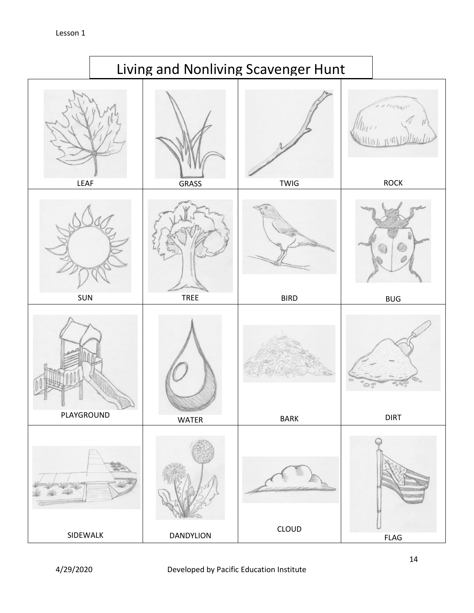

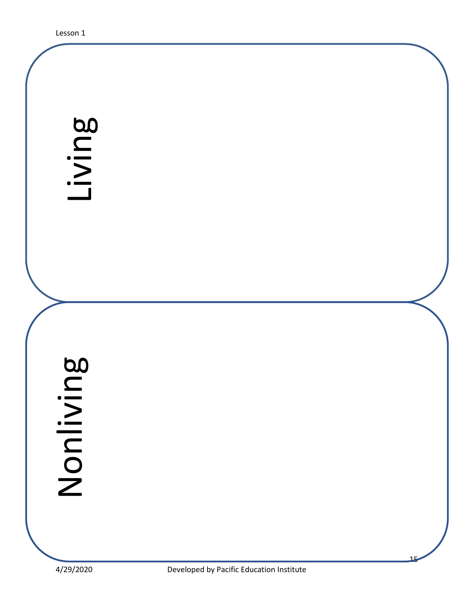# LIVING DEVELOPED BY Pacific Education Institute<br>
A/29/2020 Developed by Pacific Education Institute

15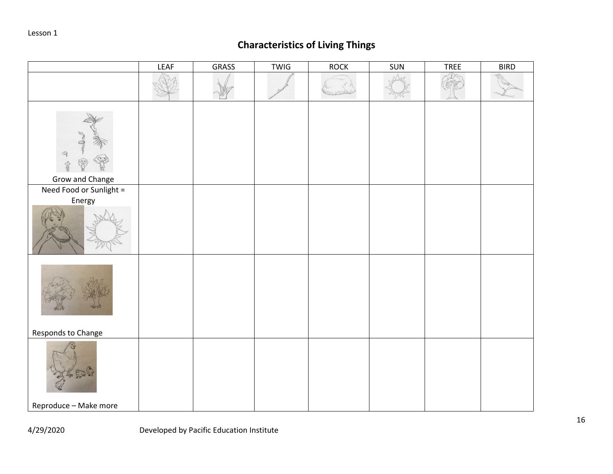### **Characteristics of Living Things**

|                                               | <b>LEAF</b> | <b>GRASS</b> | <b>TWIG</b> | <b>ROCK</b> | SUN | TREE | <b>BIRD</b> |
|-----------------------------------------------|-------------|--------------|-------------|-------------|-----|------|-------------|
|                                               |             |              |             |             |     |      |             |
| $\mathcal{P}$<br>\$<br><b>Grow and Change</b> |             |              |             |             |     |      |             |
| Need Food or Sunlight =                       |             |              |             |             |     |      |             |
| Energy                                        |             |              |             |             |     |      |             |
| Responds to Change                            |             |              |             |             |     |      |             |
|                                               |             |              |             |             |     |      |             |
| Reproduce - Make more                         |             |              |             |             |     |      |             |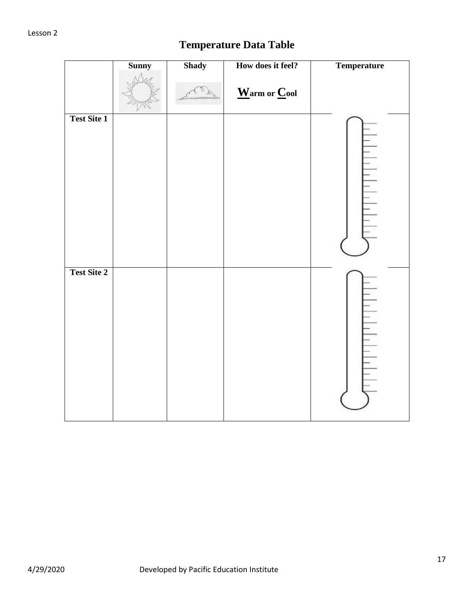### **Temperature Data Table**

|                    | <b>Sunny</b> | <b>Shady</b> | How does it feel?                                            | Temperature                    |
|--------------------|--------------|--------------|--------------------------------------------------------------|--------------------------------|
|                    |              |              | $\underline{\mathbf{W}}$ arm or $\underline{\mathbf{C}}$ ool |                                |
| <b>Test Site 1</b> |              |              |                                                              | $\frac{1}{2}$<br>$\frac{1}{2}$ |
| <b>Test Site 2</b> |              |              |                                                              | $\frac{1}{1}$                  |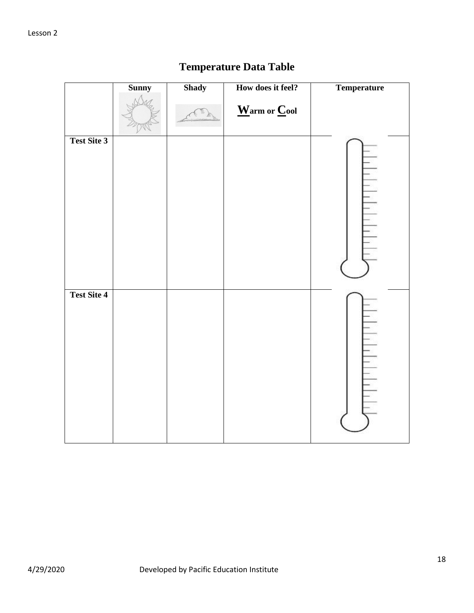|                    | <b>Sunny</b> | <b>Shady</b> | How does it feel?                                            | <b>Temperature</b> |
|--------------------|--------------|--------------|--------------------------------------------------------------|--------------------|
|                    |              |              | $\underline{\mathbf{W}}$ arm or $\underline{\mathbf{C}}$ ool |                    |
| <b>Test Site 3</b> |              |              |                                                              |                    |
| <b>Test Site 4</b> |              |              |                                                              |                    |

### **Temperature Data Table**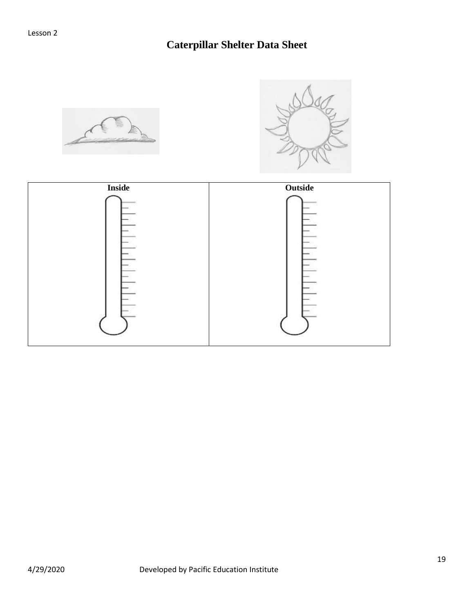### **Caterpillar Shelter Data Sheet**

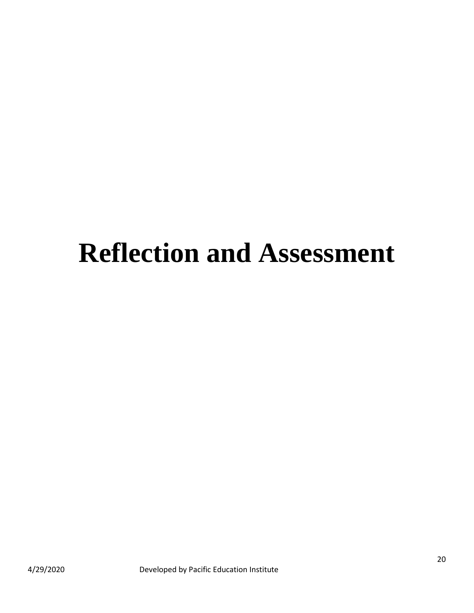# **Reflection and Assessment**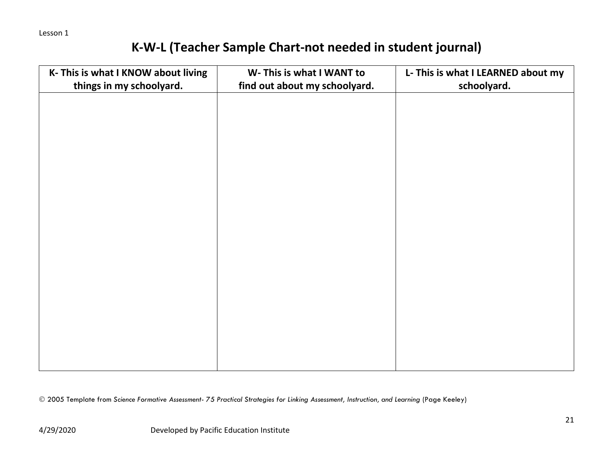### **K-W-L (Teacher Sample Chart-not needed in student journal)**

| K- This is what I KNOW about living | W- This is what I WANT to     | L- This is what I LEARNED about my |
|-------------------------------------|-------------------------------|------------------------------------|
| things in my schoolyard.            | find out about my schoolyard. | schoolyard.                        |
|                                     |                               |                                    |
|                                     |                               |                                    |
|                                     |                               |                                    |
|                                     |                               |                                    |
|                                     |                               |                                    |
|                                     |                               |                                    |
|                                     |                               |                                    |
|                                     |                               |                                    |
|                                     |                               |                                    |
|                                     |                               |                                    |
|                                     |                               |                                    |
|                                     |                               |                                    |
|                                     |                               |                                    |
|                                     |                               |                                    |
|                                     |                               |                                    |
|                                     |                               |                                    |
|                                     |                               |                                    |
|                                     |                               |                                    |
|                                     |                               |                                    |
|                                     |                               |                                    |

© 2005 Template from *Science Formative Assessment- 75 Practical Strategies for Linking Assessment, Instruction, and Learning* (Page Keeley)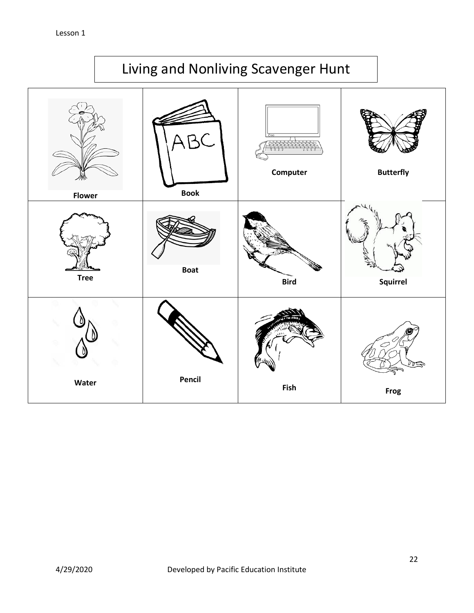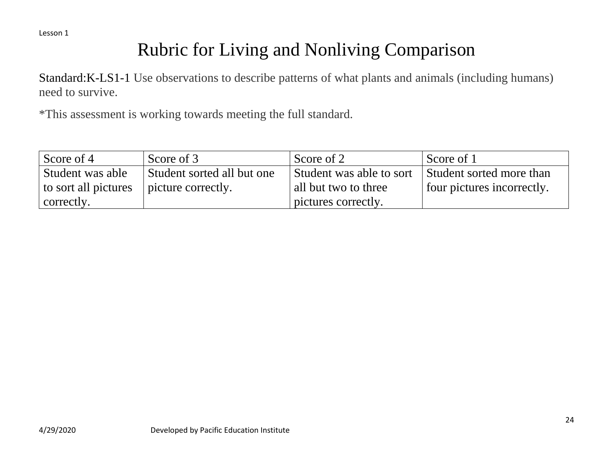# Rubric for Living and Nonliving Comparison

Standard:K-LS1-1 Use observations to describe patterns of what plants and animals (including humans) need to survive.

\*This assessment is working towards meeting the full standard.

| Score of 4           | Score of 3                 | Score of 2               | Score of 1                 |
|----------------------|----------------------------|--------------------------|----------------------------|
| Student was able     | Student sorted all but one | Student was able to sort | Student sorted more than   |
| to sort all pictures | picture correctly.         | all but two to three     | four pictures incorrectly. |
| correctly.           |                            | pictures correctly.      |                            |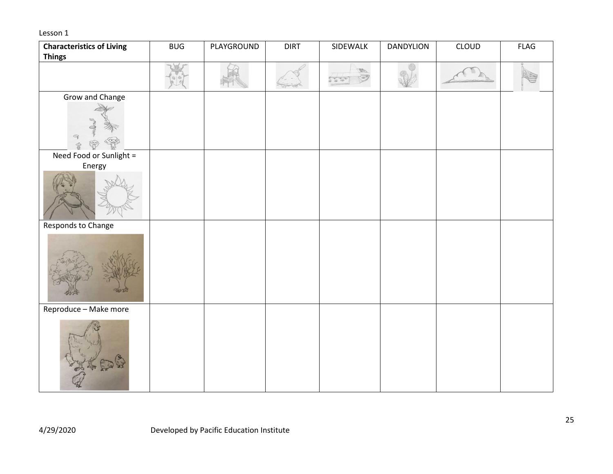| <b>Characteristics of Living</b> | <b>BUG</b> | PLAYGROUND | <b>DIRT</b> | SIDEWALK | DANDYLION | CLOUD | <b>FLAG</b> |
|----------------------------------|------------|------------|-------------|----------|-----------|-------|-------------|
| <b>Things</b>                    |            |            |             |          |           |       |             |
|                                  |            |            |             | 美丽       |           |       |             |
| Grow and Change                  |            |            |             |          |           |       |             |
| $\mathbb{Q}$                     |            |            |             |          |           |       |             |
| Need Food or Sunlight =          |            |            |             |          |           |       |             |
| Energy                           |            |            |             |          |           |       |             |
| Responds to Change               |            |            |             |          |           |       |             |
|                                  |            |            |             |          |           |       |             |
| Reproduce - Make more            |            |            |             |          |           |       |             |
| 人民                               |            |            |             |          |           |       |             |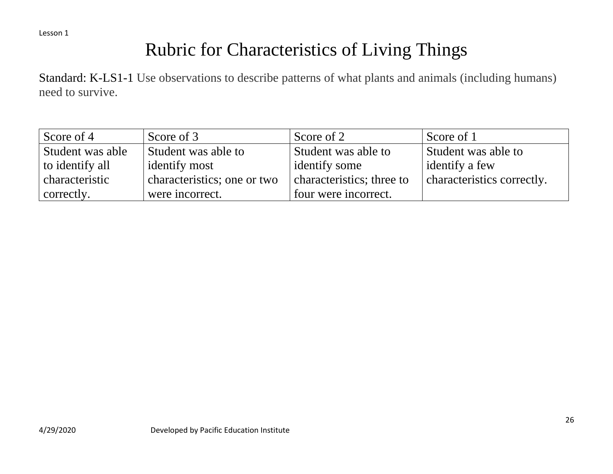# Rubric for Characteristics of Living Things

Standard: K-LS1-1 Use observations to describe patterns of what plants and animals (including humans) need to survive.

| Score of 4       | Score of 3                  | Score of 2                | Score of 1                 |
|------------------|-----------------------------|---------------------------|----------------------------|
| Student was able | Student was able to         | Student was able to       | Student was able to        |
| to identify all  | identify most               | identify some             | identify a few             |
| characteristic   | characteristics; one or two | characteristics; three to | characteristics correctly. |
| correctly.       | were incorrect.             | four were incorrect.      |                            |